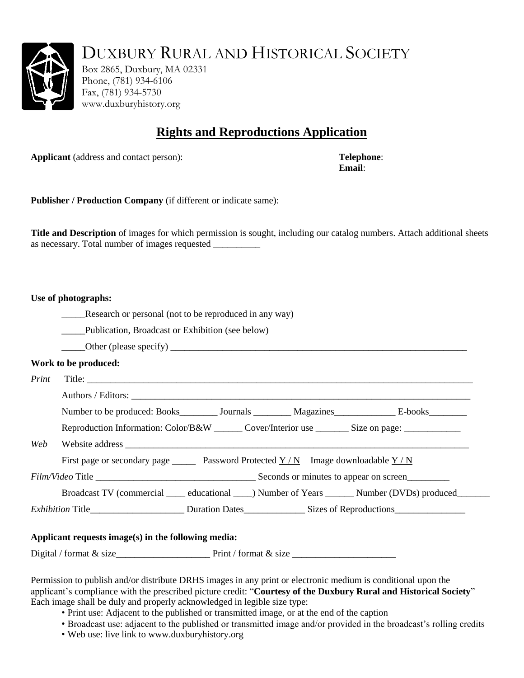

DUXBURY RURAL AND HISTORICAL SOCIETY

Box 2865, Duxbury, MA 02331 Phone, (781) 934-6106 Fax, (781) 934-5730 www.duxburyhistory.org

## **Rights and Reproductions Application**

**Applicant** (address and contact person): **Telephone**: **Telephone**:

**Email**:

**Publisher / Production Company** (if different or indicate same):

**Title and Description** of images for which permission is sought, including our catalog numbers. Attach additional sheets as necessary. Total number of images requested \_\_\_\_\_\_\_\_\_\_

#### **Use of photographs:**

Research or personal (not to be reproduced in any way)

Publication, Broadcast or Exhibition (see below)

 $\Box$  Other (please specify)  $\Box$ 

### **Work to be produced:**

*Print* Title: Authors / Editors: \_\_\_\_\_\_\_\_\_\_\_\_\_\_\_\_\_\_\_\_\_\_\_\_\_\_\_\_\_\_\_\_\_\_\_\_\_\_\_\_\_\_\_\_\_\_\_\_\_\_\_\_\_\_\_\_\_\_\_\_\_\_\_\_\_\_\_\_\_\_\_\_ Number to be produced: Books Journals Magazines E-books Reproduction Information: Color/B&W \_\_\_\_\_\_ Cover/Interior use \_\_\_\_\_\_\_ Size on page: \_\_\_\_\_\_\_\_\_\_\_\_ Website address First page or secondary page \_\_\_\_\_\_\_ Password Protected Y / N Image downloadable Y / N *Film/Video* Title \_\_\_\_\_\_\_\_\_\_\_\_\_\_\_\_\_\_\_\_\_\_\_\_\_\_\_\_\_\_\_\_\_\_ Seconds or minutes to appear on screen\_\_\_\_\_\_\_\_\_ Broadcast TV (commercial educational ) Number of Years Number (DVDs) produced *Exhibition* Title\_\_\_\_\_\_\_\_\_\_\_\_\_\_\_\_\_\_\_\_ Duration Dates\_\_\_\_\_\_\_\_\_\_\_\_\_ Sizes of Reproductions\_\_\_\_\_\_\_\_\_\_\_\_\_\_\_

### **Applicant requests image(s) in the following media:**

Digital / format & size\_\_\_\_\_\_\_\_\_\_\_\_\_\_\_\_\_\_\_\_ Print / format & size \_\_\_\_\_\_\_\_\_\_\_\_\_\_\_\_\_\_\_\_\_\_

Permission to publish and/or distribute DRHS images in any print or electronic medium is conditional upon the applicant's compliance with the prescribed picture credit: "**Courtesy of the Duxbury Rural and Historical Society**" Each image shall be duly and properly acknowledged in legible size type:

- Print use: Adjacent to the published or transmitted image, or at the end of the caption
- Broadcast use: adjacent to the published or transmitted image and/or provided in the broadcast's rolling credits
- Web use: live link to www.duxburyhistory.org